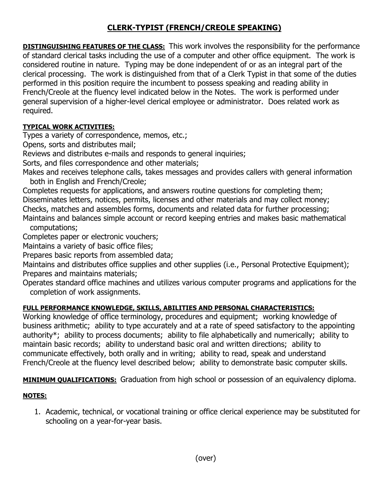## **CLERK-TYPIST (FRENCH/CREOLE SPEAKING)**

**DISTINGUISHING FEATURES OF THE CLASS:** This work involves the responsibility for the performance of standard clerical tasks including the use of a computer and other office equipment. The work is considered routine in nature. Typing may be done independent of or as an integral part of the clerical processing. The work is distinguished from that of a Clerk Typist in that some of the duties performed in this position require the incumbent to possess speaking and reading ability in French/Creole at the fluency level indicated below in the Notes. The work is performed under general supervision of a higher-level clerical employee or administrator. Does related work as required.

## **TYPICAL WORK ACTIVITIES:**

Types a variety of correspondence, memos, etc.;

Opens, sorts and distributes mail;

Reviews and distributes e-mails and responds to general inquiries;

Sorts, and files correspondence and other materials;

Makes and receives telephone calls, takes messages and provides callers with general information both in English and French/Creole;

Completes requests for applications, and answers routine questions for completing them; Disseminates letters, notices, permits, licenses and other materials and may collect money; Checks, matches and assembles forms, documents and related data for further processing;

Maintains and balances simple account or record keeping entries and makes basic mathematical computations;

Completes paper or electronic vouchers;

Maintains a variety of basic office files;

Prepares basic reports from assembled data;

Maintains and distributes office supplies and other supplies (i.e., Personal Protective Equipment); Prepares and maintains materials;

Operates standard office machines and utilizes various computer programs and applications for the completion of work assignments.

## **FULL PERFORMANCE KNOWLEDGE, SKILLS, ABILITIES AND PERSONAL CHARACTERISTICS:**

Working knowledge of office terminology, procedures and equipment; working knowledge of business arithmetic; ability to type accurately and at a rate of speed satisfactory to the appointing authority\*; ability to process documents; ability to file alphabetically and numerically; ability to maintain basic records; ability to understand basic oral and written directions; ability to communicate effectively, both orally and in writing; ability to read, speak and understand French/Creole at the fluency level described below; ability to demonstrate basic computer skills.

**MINIMUM QUALIFICATIONS:** Graduation from high school or possession of an equivalency diploma.

## **NOTES:**

1. Academic, technical, or vocational training or office clerical experience may be substituted for schooling on a year-for-year basis.